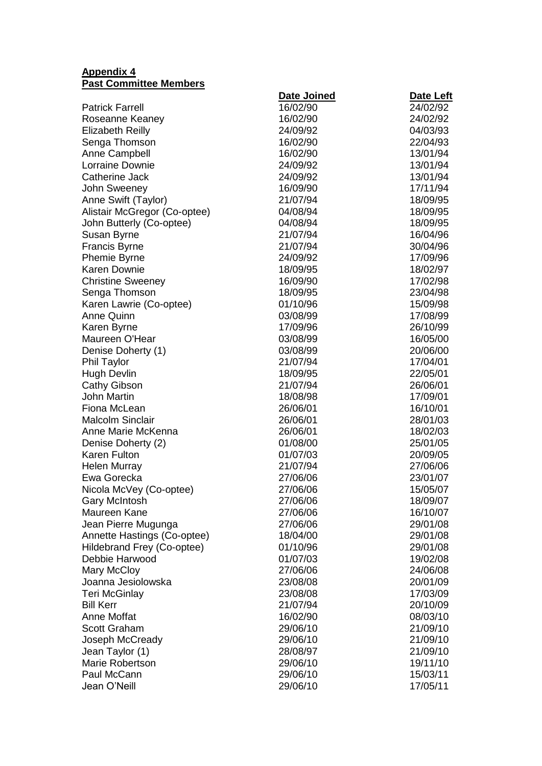## **Appendix 4 Past Committee Members**

|                                   | Date Joined | <b>Date Left</b> |
|-----------------------------------|-------------|------------------|
| <b>Patrick Farrell</b>            | 16/02/90    | 24/02/92         |
| Roseanne Keaney                   | 16/02/90    | 24/02/92         |
| <b>Elizabeth Reilly</b>           | 24/09/92    | 04/03/93         |
| Senga Thomson                     | 16/02/90    | 22/04/93         |
| <b>Anne Campbell</b>              | 16/02/90    | 13/01/94         |
| Lorraine Downie                   | 24/09/92    | 13/01/94         |
| Catherine Jack                    | 24/09/92    | 13/01/94         |
| John Sweeney                      | 16/09/90    | 17/11/94         |
| Anne Swift (Taylor)               | 21/07/94    | 18/09/95         |
| Alistair McGregor (Co-optee)      | 04/08/94    | 18/09/95         |
| John Butterly (Co-optee)          | 04/08/94    | 18/09/95         |
| Susan Byrne                       | 21/07/94    | 16/04/96         |
| Francis Byrne                     | 21/07/94    | 30/04/96         |
| Phemie Byrne                      | 24/09/92    | 17/09/96         |
| Karen Downie                      | 18/09/95    | 18/02/97         |
| <b>Christine Sweeney</b>          | 16/09/90    | 17/02/98         |
| Senga Thomson                     | 18/09/95    | 23/04/98         |
| Karen Lawrie (Co-optee)           | 01/10/96    | 15/09/98         |
| <b>Anne Quinn</b>                 | 03/08/99    | 17/08/99         |
| Karen Byrne                       | 17/09/96    | 26/10/99         |
| Maureen O'Hear                    | 03/08/99    | 16/05/00         |
| Denise Doherty (1)                | 03/08/99    | 20/06/00         |
| <b>Phil Taylor</b>                | 21/07/94    | 17/04/01         |
| <b>Hugh Devlin</b>                | 18/09/95    | 22/05/01         |
| <b>Cathy Gibson</b>               | 21/07/94    | 26/06/01         |
| <b>John Martin</b>                | 18/08/98    | 17/09/01         |
| Fiona McLean                      | 26/06/01    | 16/10/01         |
| <b>Malcolm Sinclair</b>           | 26/06/01    | 28/01/03         |
| Anne Marie McKenna                | 26/06/01    | 18/02/03         |
| Denise Doherty (2)                | 01/08/00    | 25/01/05         |
| Karen Fulton                      | 01/07/03    | 20/09/05         |
| <b>Helen Murray</b>               | 21/07/94    | 27/06/06         |
| Ewa Gorecka                       | 27/06/06    | 23/01/07         |
| Nicola McVey (Co-optee)           | 27/06/06    | 15/05/07         |
| <b>Gary McIntosh</b>              | 27/06/06    | 18/09/07         |
| Maureen Kane                      | 27/06/06    | 16/10/07         |
| Jean Pierre Mugunga               | 27/06/06    | 29/01/08         |
| Annette Hastings (Co-optee)       | 18/04/00    | 29/01/08         |
| Hildebrand Frey (Co-optee)        | 01/10/96    | 29/01/08         |
| Debbie Harwood                    | 01/07/03    | 19/02/08         |
|                                   | 27/06/06    | 24/06/08         |
| Mary McCloy<br>Joanna Jesiolowska |             | 20/01/09         |
|                                   | 23/08/08    |                  |
| Teri McGinlay                     | 23/08/08    | 17/03/09         |
| <b>Bill Kerr</b>                  | 21/07/94    | 20/10/09         |
| <b>Anne Moffat</b>                | 16/02/90    | 08/03/10         |
| <b>Scott Graham</b>               | 29/06/10    | 21/09/10         |
| Joseph McCready                   | 29/06/10    | 21/09/10         |
| Jean Taylor (1)                   | 28/08/97    | 21/09/10         |
| Marie Robertson                   | 29/06/10    | 19/11/10         |
| Paul McCann                       | 29/06/10    | 15/03/11         |
| Jean O'Neill                      | 29/06/10    | 17/05/11         |